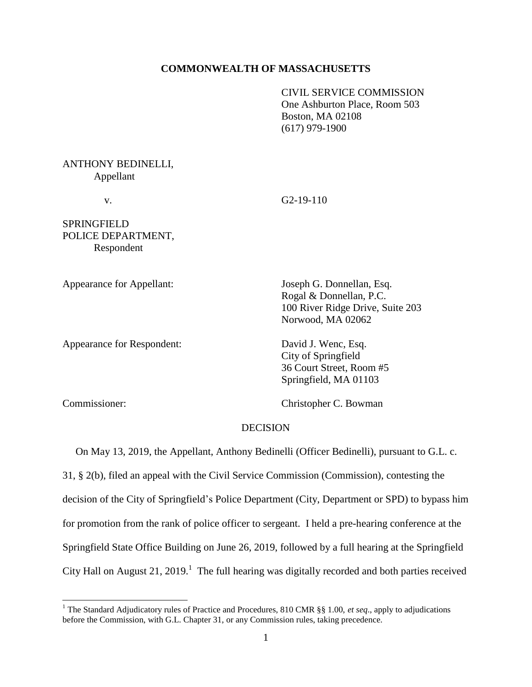### **COMMONWEALTH OF MASSACHUSETTS**

CIVIL SERVICE COMMISSION One Ashburton Place, Room 503 Boston, MA 02108 (617) 979-1900

# ANTHONY BEDINELLI, Appellant

v. G2-19-110

SPRINGFIELD POLICE DEPARTMENT, Respondent

Appearance for Respondent: David J. Wenc, Esq.

Appearance for Appellant: Joseph G. Donnellan, Esq. Rogal & Donnellan, P.C. 100 River Ridge Drive, Suite 203 Norwood, MA 02062

> City of Springfield 36 Court Street, Room #5 Springfield, MA 01103

l

Commissioner: Christopher C. Bowman

## **DECISION**

On May 13, 2019, the Appellant, Anthony Bedinelli (Officer Bedinelli), pursuant to G.L. c.

31, § 2(b), filed an appeal with the Civil Service Commission (Commission), contesting the decision of the City of Springfield's Police Department (City, Department or SPD) to bypass him for promotion from the rank of police officer to sergeant. I held a pre-hearing conference at the Springfield State Office Building on June 26, 2019, followed by a full hearing at the Springfield City Hall on August 21, 2019.<sup>1</sup> The full hearing was digitally recorded and both parties received

<sup>&</sup>lt;sup>1</sup> The Standard Adjudicatory rules of Practice and Procedures, 810 CMR §§ 1.00, *et seq.*, apply to adjudications before the Commission, with G.L. Chapter 31, or any Commission rules, taking precedence.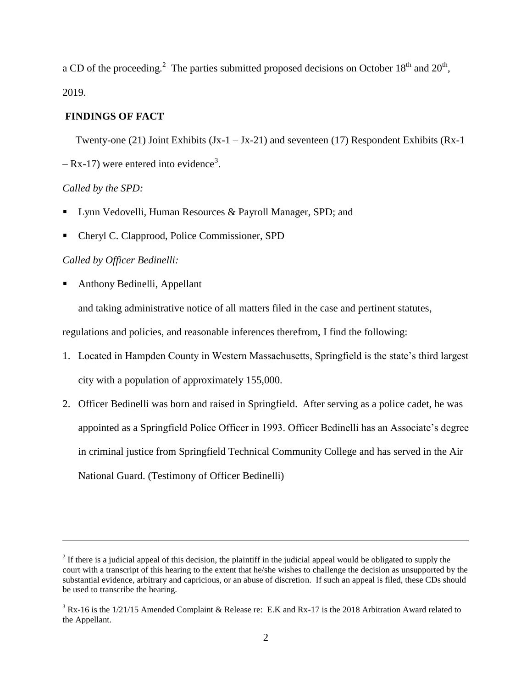a CD of the proceeding.<sup>2</sup> The parties submitted proposed decisions on October 18<sup>th</sup> and 20<sup>th</sup>, 2019.

# **FINDINGS OF FACT**

Twenty-one (21) Joint Exhibits  $(Jx-1 - Jx-21)$  and seventeen (17) Respondent Exhibits (Rx-1  $-$  Rx-17) were entered into evidence<sup>3</sup>.

## *Called by the SPD:*

l

- Lynn Vedovelli, Human Resources & Payroll Manager, SPD; and
- Cheryl C. Clapprood, Police Commissioner, SPD

## *Called by Officer Bedinelli:*

Anthony Bedinelli, Appellant

and taking administrative notice of all matters filed in the case and pertinent statutes,

regulations and policies, and reasonable inferences therefrom, I find the following:

- 1. Located in Hampden County in Western Massachusetts, Springfield is the state's third largest city with a population of approximately 155,000.
- 2. Officer Bedinelli was born and raised in Springfield. After serving as a police cadet, he was appointed as a Springfield Police Officer in 1993. Officer Bedinelli has an Associate's degree in criminal justice from Springfield Technical Community College and has served in the Air National Guard. (Testimony of Officer Bedinelli)

<sup>&</sup>lt;sup>2</sup> If there is a judicial appeal of this decision, the plaintiff in the judicial appeal would be obligated to supply the court with a transcript of this hearing to the extent that he/she wishes to challenge the decision as unsupported by the substantial evidence, arbitrary and capricious, or an abuse of discretion. If such an appeal is filed, these CDs should be used to transcribe the hearing.

<sup>&</sup>lt;sup>3</sup> Rx-16 is the 1/21/15 Amended Complaint & Release re: E.K and Rx-17 is the 2018 Arbitration Award related to the Appellant.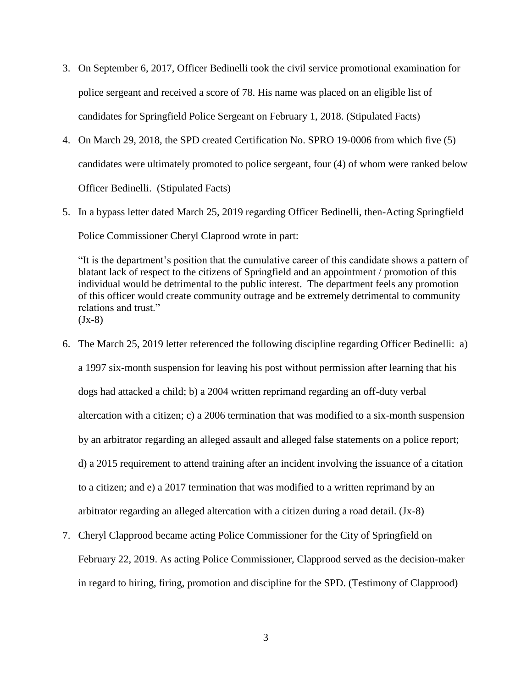- 3. On September 6, 2017, Officer Bedinelli took the civil service promotional examination for police sergeant and received a score of 78. His name was placed on an eligible list of candidates for Springfield Police Sergeant on February 1, 2018. (Stipulated Facts)
- 4. On March 29, 2018, the SPD created Certification No. SPRO 19-0006 from which five (5) candidates were ultimately promoted to police sergeant, four (4) of whom were ranked below Officer Bedinelli. (Stipulated Facts)
- 5. In a bypass letter dated March 25, 2019 regarding Officer Bedinelli, then-Acting Springfield Police Commissioner Cheryl Claprood wrote in part:

"It is the department's position that the cumulative career of this candidate shows a pattern of blatant lack of respect to the citizens of Springfield and an appointment / promotion of this individual would be detrimental to the public interest. The department feels any promotion of this officer would create community outrage and be extremely detrimental to community relations and trust."  $(Jx-8)$ 

- 6. The March 25, 2019 letter referenced the following discipline regarding Officer Bedinelli: a) a 1997 six-month suspension for leaving his post without permission after learning that his dogs had attacked a child; b) a 2004 written reprimand regarding an off-duty verbal altercation with a citizen; c) a 2006 termination that was modified to a six-month suspension by an arbitrator regarding an alleged assault and alleged false statements on a police report; d) a 2015 requirement to attend training after an incident involving the issuance of a citation to a citizen; and e) a 2017 termination that was modified to a written reprimand by an arbitrator regarding an alleged altercation with a citizen during a road detail. (Jx-8)
- 7. Cheryl Clapprood became acting Police Commissioner for the City of Springfield on February 22, 2019. As acting Police Commissioner, Clapprood served as the decision-maker in regard to hiring, firing, promotion and discipline for the SPD. (Testimony of Clapprood)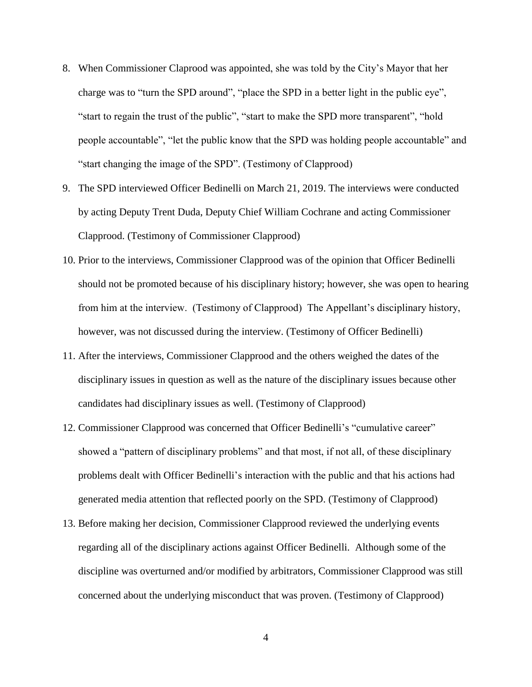- 8. When Commissioner Claprood was appointed, she was told by the City's Mayor that her charge was to "turn the SPD around", "place the SPD in a better light in the public eye", "start to regain the trust of the public", "start to make the SPD more transparent", "hold people accountable", "let the public know that the SPD was holding people accountable" and "start changing the image of the SPD". (Testimony of Clapprood)
- 9. The SPD interviewed Officer Bedinelli on March 21, 2019. The interviews were conducted by acting Deputy Trent Duda, Deputy Chief William Cochrane and acting Commissioner Clapprood. (Testimony of Commissioner Clapprood)
- 10. Prior to the interviews, Commissioner Clapprood was of the opinion that Officer Bedinelli should not be promoted because of his disciplinary history; however, she was open to hearing from him at the interview. (Testimony of Clapprood) The Appellant's disciplinary history, however, was not discussed during the interview. (Testimony of Officer Bedinelli)
- 11. After the interviews, Commissioner Clapprood and the others weighed the dates of the disciplinary issues in question as well as the nature of the disciplinary issues because other candidates had disciplinary issues as well. (Testimony of Clapprood)
- 12. Commissioner Clapprood was concerned that Officer Bedinelli's "cumulative career" showed a "pattern of disciplinary problems" and that most, if not all, of these disciplinary problems dealt with Officer Bedinelli's interaction with the public and that his actions had generated media attention that reflected poorly on the SPD. (Testimony of Clapprood)
- 13. Before making her decision, Commissioner Clapprood reviewed the underlying events regarding all of the disciplinary actions against Officer Bedinelli. Although some of the discipline was overturned and/or modified by arbitrators, Commissioner Clapprood was still concerned about the underlying misconduct that was proven. (Testimony of Clapprood)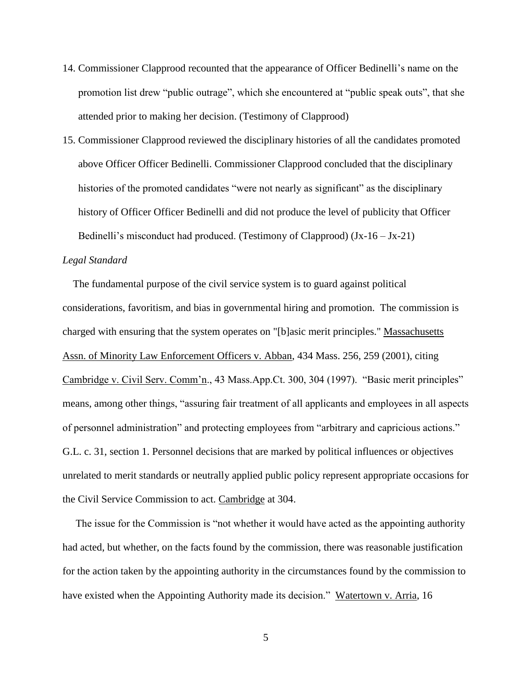- 14. Commissioner Clapprood recounted that the appearance of Officer Bedinelli's name on the promotion list drew "public outrage", which she encountered at "public speak outs", that she attended prior to making her decision. (Testimony of Clapprood)
- 15. Commissioner Clapprood reviewed the disciplinary histories of all the candidates promoted above Officer Officer Bedinelli. Commissioner Clapprood concluded that the disciplinary histories of the promoted candidates "were not nearly as significant" as the disciplinary history of Officer Officer Bedinelli and did not produce the level of publicity that Officer Bedinelli's misconduct had produced. (Testimony of Clapprood)  $(Jx-16-Jx-21)$

### *Legal Standard*

 The fundamental purpose of the civil service system is to guard against political considerations, favoritism, and bias in governmental hiring and promotion. The commission is charged with ensuring that the system operates on "[b]asic merit principles." Massachusetts Assn. of Minority Law Enforcement Officers v. Abban, 434 Mass. 256, 259 (2001), citing Cambridge v. Civil Serv. Comm'n., 43 Mass.App.Ct. 300, 304 (1997). "Basic merit principles" means, among other things, "assuring fair treatment of all applicants and employees in all aspects of personnel administration" and protecting employees from "arbitrary and capricious actions." G.L. c. 31, section 1. Personnel decisions that are marked by political influences or objectives unrelated to merit standards or neutrally applied public policy represent appropriate occasions for the Civil Service Commission to act. Cambridge at 304.

 The issue for the Commission is "not whether it would have acted as the appointing authority had acted, but whether, on the facts found by the commission, there was reasonable justification for the action taken by the appointing authority in the circumstances found by the commission to have existed when the Appointing Authority made its decision." Watertown v. Arria, 16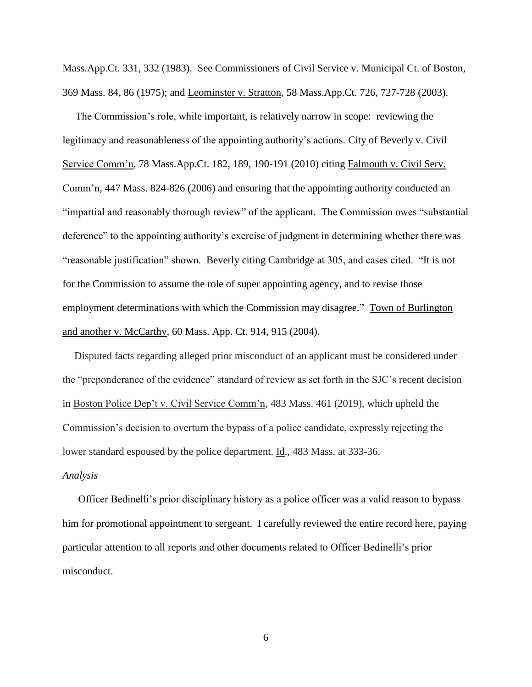Mass.App.Ct. 331, 332 (1983). See Commissioners of Civil Service v. Municipal Ct. of Boston, 369 Mass. 84, 86 (1975); and Leominster v. Stratton, 58 Mass.App.Ct. 726, 727-728 (2003).

 The Commission's role, while important, is relatively narrow in scope: reviewing the legitimacy and reasonableness of the appointing authority's actions. City of Beverly v. Civil Service Comm'n, 78 Mass.App.Ct. 182, 189, 190-191 (2010) citing Falmouth v. Civil Serv. Comm'n, 447 Mass. 824-826 (2006) and ensuring that the appointing authority conducted an "impartial and reasonably thorough review" of the applicant. The Commission owes "substantial deference" to the appointing authority's exercise of judgment in determining whether there was "reasonable justification" shown. Beverly citing Cambridge at 305, and cases cited. "It is not for the Commission to assume the role of super appointing agency, and to revise those employment determinations with which the Commission may disagree." Town of Burlington and another v. McCarthy, 60 Mass. App. Ct. 914, 915 (2004).

Disputed facts regarding alleged prior misconduct of an applicant must be considered under the "preponderance of the evidence" standard of review as set forth in the SJC's recent decision in Boston Police Dep't v. Civil Service Comm'n, 483 Mass. 461 (2019), which upheld the Commission's decision to overturn the bypass of a police candidate, expressly rejecting the lower standard espoused by the police department. Id., 483 Mass. at 333-36.

### *Analysis*

 Officer Bedinelli's prior disciplinary history as a police officer was a valid reason to bypass him for promotional appointment to sergeant. I carefully reviewed the entire record here, paying particular attention to all reports and other documents related to Officer Bedinelli's prior misconduct.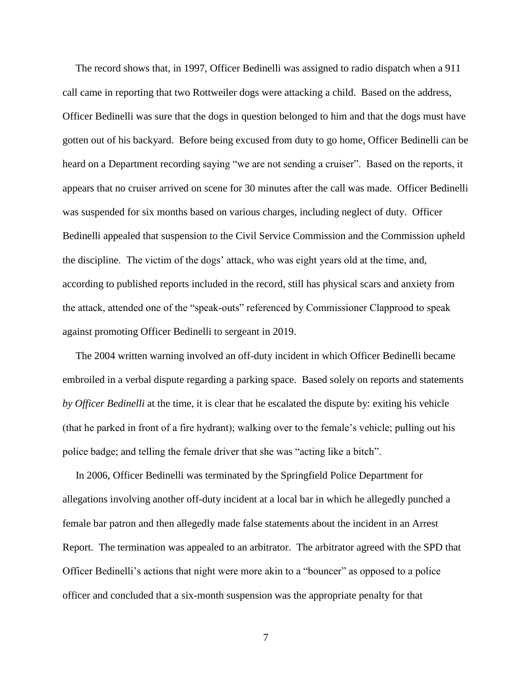The record shows that, in 1997, Officer Bedinelli was assigned to radio dispatch when a 911 call came in reporting that two Rottweiler dogs were attacking a child. Based on the address, Officer Bedinelli was sure that the dogs in question belonged to him and that the dogs must have gotten out of his backyard. Before being excused from duty to go home, Officer Bedinelli can be heard on a Department recording saying "we are not sending a cruiser". Based on the reports, it appears that no cruiser arrived on scene for 30 minutes after the call was made. Officer Bedinelli was suspended for six months based on various charges, including neglect of duty. Officer Bedinelli appealed that suspension to the Civil Service Commission and the Commission upheld the discipline. The victim of the dogs' attack, who was eight years old at the time, and, according to published reports included in the record, still has physical scars and anxiety from the attack, attended one of the "speak-outs" referenced by Commissioner Clapprood to speak against promoting Officer Bedinelli to sergeant in 2019.

 The 2004 written warning involved an off-duty incident in which Officer Bedinelli became embroiled in a verbal dispute regarding a parking space. Based solely on reports and statements *by Officer Bedinelli* at the time, it is clear that he escalated the dispute by: exiting his vehicle (that he parked in front of a fire hydrant); walking over to the female's vehicle; pulling out his police badge; and telling the female driver that she was "acting like a bitch".

 In 2006, Officer Bedinelli was terminated by the Springfield Police Department for allegations involving another off-duty incident at a local bar in which he allegedly punched a female bar patron and then allegedly made false statements about the incident in an Arrest Report. The termination was appealed to an arbitrator. The arbitrator agreed with the SPD that Officer Bedinelli's actions that night were more akin to a "bouncer" as opposed to a police officer and concluded that a six-month suspension was the appropriate penalty for that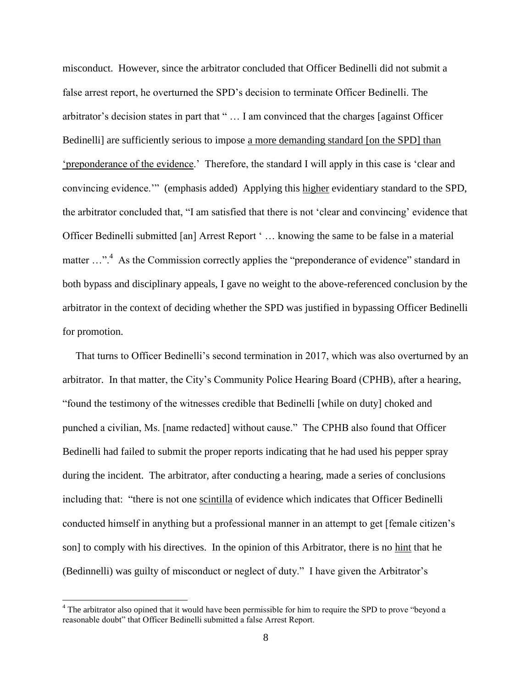misconduct. However, since the arbitrator concluded that Officer Bedinelli did not submit a false arrest report, he overturned the SPD's decision to terminate Officer Bedinelli. The arbitrator's decision states in part that " … I am convinced that the charges [against Officer Bedinelli] are sufficiently serious to impose a more demanding standard [on the SPD] than 'preponderance of the evidence.' Therefore, the standard I will apply in this case is 'clear and convincing evidence.'" (emphasis added) Applying this higher evidentiary standard to the SPD, the arbitrator concluded that, "I am satisfied that there is not 'clear and convincing' evidence that Officer Bedinelli submitted [an] Arrest Report ' … knowing the same to be false in a material matter ...".<sup>4</sup> As the Commission correctly applies the "preponderance of evidence" standard in both bypass and disciplinary appeals, I gave no weight to the above-referenced conclusion by the arbitrator in the context of deciding whether the SPD was justified in bypassing Officer Bedinelli for promotion.

 That turns to Officer Bedinelli's second termination in 2017, which was also overturned by an arbitrator. In that matter, the City's Community Police Hearing Board (CPHB), after a hearing, "found the testimony of the witnesses credible that Bedinelli [while on duty] choked and punched a civilian, Ms. [name redacted] without cause." The CPHB also found that Officer Bedinelli had failed to submit the proper reports indicating that he had used his pepper spray during the incident. The arbitrator, after conducting a hearing, made a series of conclusions including that: "there is not one scintilla of evidence which indicates that Officer Bedinelli conducted himself in anything but a professional manner in an attempt to get [female citizen's son] to comply with his directives. In the opinion of this Arbitrator, there is no hint that he (Bedinnelli) was guilty of misconduct or neglect of duty." I have given the Arbitrator's

l

 $4$  The arbitrator also opined that it would have been permissible for him to require the SPD to prove "beyond a reasonable doubt" that Officer Bedinelli submitted a false Arrest Report.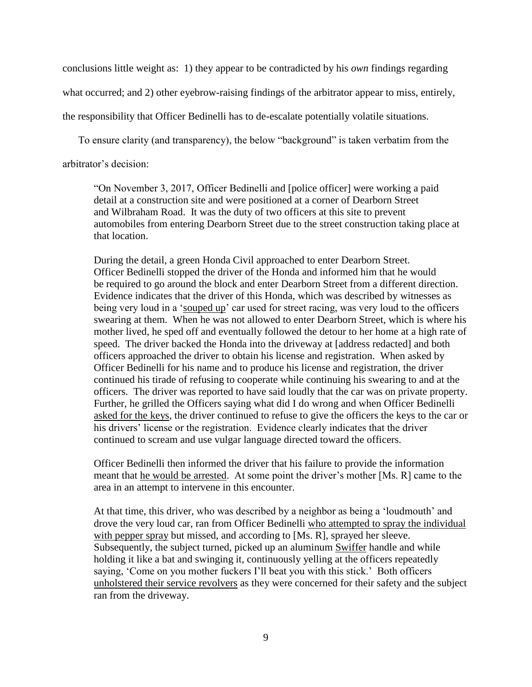conclusions little weight as: 1) they appear to be contradicted by his *own* findings regarding

what occurred; and 2) other eyebrow-raising findings of the arbitrator appear to miss, entirely,

the responsibility that Officer Bedinelli has to de-escalate potentially volatile situations.

To ensure clarity (and transparency), the below "background" is taken verbatim from the

arbitrator's decision:

"On November 3, 2017, Officer Bedinelli and [police officer] were working a paid detail at a construction site and were positioned at a corner of Dearborn Street and Wilbraham Road. It was the duty of two officers at this site to prevent automobiles from entering Dearborn Street due to the street construction taking place at that location.

During the detail, a green Honda Civil approached to enter Dearborn Street. Officer Bedinelli stopped the driver of the Honda and informed him that he would be required to go around the block and enter Dearborn Street from a different direction. Evidence indicates that the driver of this Honda, which was described by witnesses as being very loud in a 'souped up' car used for street racing, was very loud to the officers swearing at them. When he was not allowed to enter Dearborn Street, which is where his mother lived, he sped off and eventually followed the detour to her home at a high rate of speed. The driver backed the Honda into the driveway at [address redacted] and both officers approached the driver to obtain his license and registration. When asked by Officer Bedinelli for his name and to produce his license and registration, the driver continued his tirade of refusing to cooperate while continuing his swearing to and at the officers. The driver was reported to have said loudly that the car was on private property. Further, he grilled the Officers saying what did I do wrong and when Officer Bedinelli asked for the keys, the driver continued to refuse to give the officers the keys to the car or his drivers' license or the registration. Evidence clearly indicates that the driver continued to scream and use vulgar language directed toward the officers.

Officer Bedinelli then informed the driver that his failure to provide the information meant that he would be arrested. At some point the driver's mother [Ms. R] came to the area in an attempt to intervene in this encounter.

At that time, this driver, who was described by a neighbor as being a 'loudmouth' and drove the very loud car, ran from Officer Bedinelli who attempted to spray the individual with pepper spray but missed, and according to [Ms. R], sprayed her sleeve. Subsequently, the subject turned, picked up an aluminum Swiffer handle and while holding it like a bat and swinging it, continuously yelling at the officers repeatedly saying, 'Come on you mother fuckers I'll beat you with this stick.' Both officers unholstered their service revolvers as they were concerned for their safety and the subject ran from the driveway.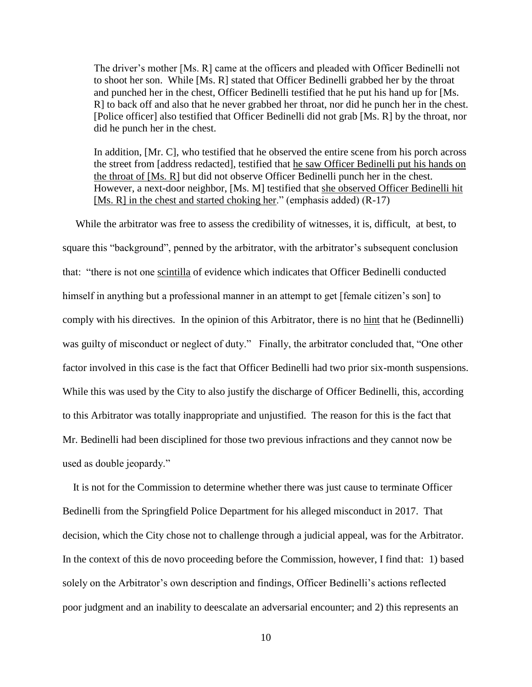The driver's mother [Ms. R] came at the officers and pleaded with Officer Bedinelli not to shoot her son. While [Ms. R] stated that Officer Bedinelli grabbed her by the throat and punched her in the chest, Officer Bedinelli testified that he put his hand up for [Ms. R] to back off and also that he never grabbed her throat, nor did he punch her in the chest. [Police officer] also testified that Officer Bedinelli did not grab [Ms. R] by the throat, nor did he punch her in the chest.

In addition, [Mr. C], who testified that he observed the entire scene from his porch across the street from [address redacted], testified that he saw Officer Bedinelli put his hands on the throat of [Ms. R] but did not observe Officer Bedinelli punch her in the chest. However, a next-door neighbor, [Ms. M] testified that she observed Officer Bedinelli hit [Ms. R] in the chest and started choking her." (emphasis added) (R-17)

 While the arbitrator was free to assess the credibility of witnesses, it is, difficult, at best, to square this "background", penned by the arbitrator, with the arbitrator's subsequent conclusion that: "there is not one scintilla of evidence which indicates that Officer Bedinelli conducted himself in anything but a professional manner in an attempt to get [female citizen's son] to comply with his directives. In the opinion of this Arbitrator, there is no hint that he (Bedinnelli) was guilty of misconduct or neglect of duty." Finally, the arbitrator concluded that, "One other factor involved in this case is the fact that Officer Bedinelli had two prior six-month suspensions. While this was used by the City to also justify the discharge of Officer Bedinelli, this, according to this Arbitrator was totally inappropriate and unjustified. The reason for this is the fact that Mr. Bedinelli had been disciplined for those two previous infractions and they cannot now be used as double jeopardy."

 It is not for the Commission to determine whether there was just cause to terminate Officer Bedinelli from the Springfield Police Department for his alleged misconduct in 2017. That decision, which the City chose not to challenge through a judicial appeal, was for the Arbitrator. In the context of this de novo proceeding before the Commission, however, I find that: 1) based solely on the Arbitrator's own description and findings, Officer Bedinelli's actions reflected poor judgment and an inability to deescalate an adversarial encounter; and 2) this represents an